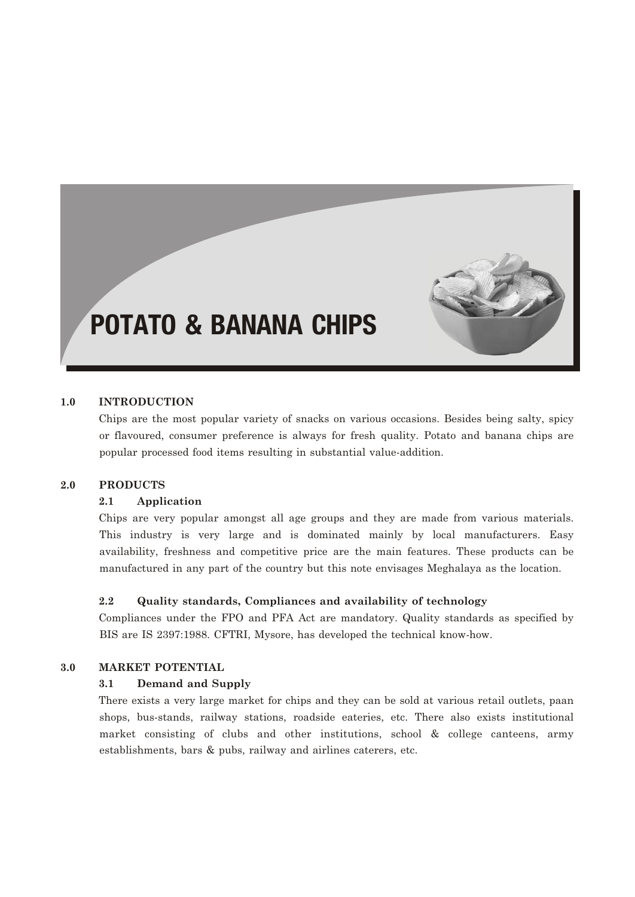# POTATO & BANANA CHIPS

#### **1.0 INTRODUCTION**

Chips are the most popular variety of snacks on various occasions. Besides being salty, spicy or flavoured, consumer preference is always for fresh quality. Potato and banana chips are popular processed food items resulting in substantial value-addition.

#### **2.0 PRODUCTS**

#### **2.1 Application**

Chips are very popular amongst all age groups and they are made from various materials. This industry is very large and is dominated mainly by local manufacturers. Easy availability, freshness and competitive price are the main features. These products can be manufactured in any part of the country but this note envisages Meghalaya as the location.

#### **2.2 Quality standards, Compliances and availability of technology**

Compliances under the FPO and PFA Act are mandatory. Quality standards as specified by BIS are IS 2397:1988. CFTRI, Mysore, has developed the technical know-how.

## **3.0 MARKET POTENTIAL**

#### **3.1 Demand and Supply**

There exists a very large market for chips and they can be sold at various retail outlets, paan shops, bus-stands, railway stations, roadside eateries, etc. There also exists institutional market consisting of clubs and other institutions, school & college canteens, army establishments, bars & pubs, railway and airlines caterers, etc.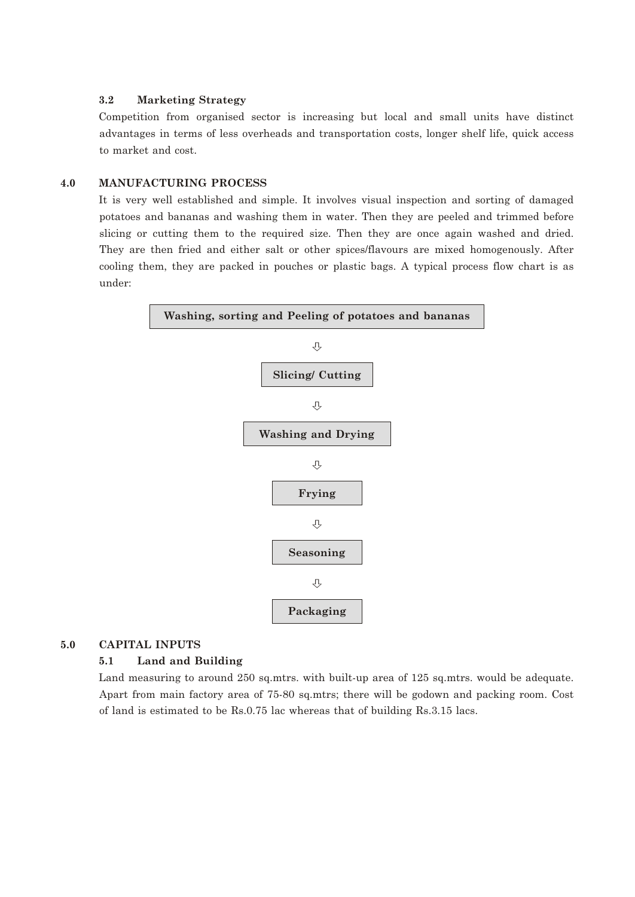#### **3.2 Marketing Strategy**

Competition from organised sector is increasing but local and small units have distinct advantages in terms of less overheads and transportation costs, longer shelf life, quick access to market and cost.

#### **4.0 MANUFACTURING PROCESS**

It is very well established and simple. It involves visual inspection and sorting of damaged potatoes and bananas and washing them in water. Then they are peeled and trimmed before slicing or cutting them to the required size. Then they are once again washed and dried. They are then fried and either salt or other spices/flavours are mixed homogenously. After cooling them, they are packed in pouches or plastic bags. A typical process flow chart is as under:



#### **5.0 CAPITAL INPUTS**

#### **5.1 Land and Building**

Land measuring to around 250 sq.mtrs. with built-up area of 125 sq.mtrs. would be adequate. Apart from main factory area of 75-80 sq.mtrs; there will be godown and packing room. Cost of land is estimated to be Rs.0.75 lac whereas that of building Rs.3.15 lacs.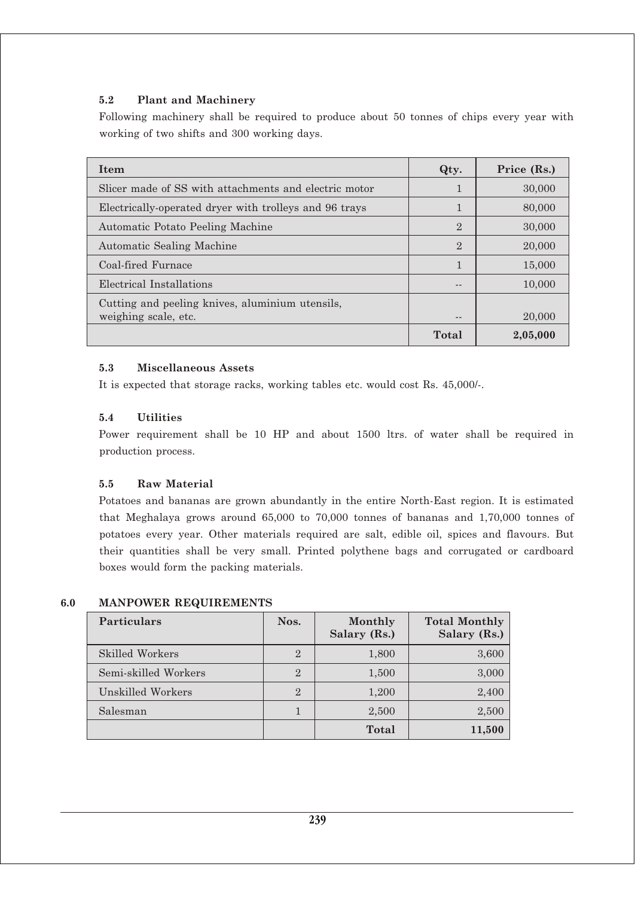## **5.2 Plant and Machinery**

Following machinery shall be required to produce about 50 tonnes of chips every year with working of two shifts and 300 working days.

| Item                                                                    | Qty.           | Price (Rs.) |
|-------------------------------------------------------------------------|----------------|-------------|
| Slicer made of SS with attachments and electric motor                   |                | 30,000      |
| Electrically-operated dryer with trolleys and 96 trays                  | 1              | 80,000      |
| Automatic Potato Peeling Machine                                        | $\overline{2}$ | 30,000      |
| <b>Automatic Sealing Machine</b>                                        | $\overline{2}$ | 20,000      |
| Coal-fired Furnace                                                      | 1              | 15,000      |
| Electrical Installations                                                | $ -$           | 10,000      |
| Cutting and peeling knives, aluminium utensils,<br>weighing scale, etc. | $ -$           | 20,000      |
|                                                                         | Total          | 2,05,000    |

#### **5.3 Miscellaneous Assets**

It is expected that storage racks, working tables etc. would cost Rs. 45,000/-.

### **5.4 Utilities**

Power requirement shall be 10 HP and about 1500 ltrs. of water shall be required in production process.

## **5.5 Raw Material**

Potatoes and bananas are grown abundantly in the entire North-East region. It is estimated that Meghalaya grows around 65,000 to 70,000 tonnes of bananas and 1,70,000 tonnes of potatoes every year. Other materials required are salt, edible oil, spices and flavours. But their quantities shall be very small. Printed polythene bags and corrugated or cardboard boxes would form the packing materials.

## **6.0 MANPOWER REQUIREMENTS**

| <b>Particulars</b>   | Nos.           | Monthly<br>Salary (Rs.) | <b>Total Monthly</b><br>Salary (Rs.) |
|----------------------|----------------|-------------------------|--------------------------------------|
| Skilled Workers      | $\overline{2}$ | 1,800                   | 3,600                                |
| Semi-skilled Workers | $\overline{2}$ | 1,500                   | 3,000                                |
| Unskilled Workers    | $\overline{2}$ | 1,200                   | 2,400                                |
| Salesman             |                | 2,500                   | 2,500                                |
|                      |                | Total                   | 11,500                               |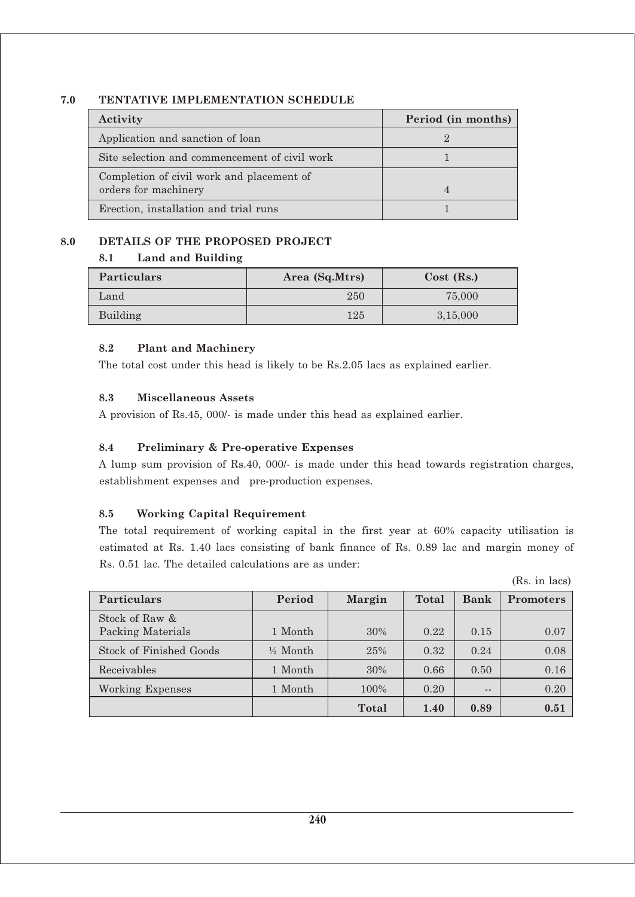#### **7.0 TENTATIVE IMPLEMENTATION SCHEDULE**

| Activity                                                          | Period (in months) |
|-------------------------------------------------------------------|--------------------|
| Application and sanction of loan                                  |                    |
| Site selection and commencement of civil work                     |                    |
| Completion of civil work and placement of<br>orders for machinery | 4                  |
| Erection, installation and trial runs                             |                    |

## **8.0 DETAILS OF THE PROPOSED PROJECT**

### **8.1 Land and Building**

| <b>Particulars</b> | Area (Sq.Mtrs) | $Cost$ (Rs.) |
|--------------------|----------------|--------------|
| Land               | 250            | 75,000       |
| Building           | 125            | 3,15,000     |

### **8.2 Plant and Machinery**

The total cost under this head is likely to be Rs.2.05 lacs as explained earlier.

## **8.3 Miscellaneous Assets**

A provision of Rs.45, 000/- is made under this head as explained earlier.

## **8.4 Preliminary & Pre-operative Expenses**

A lump sum provision of Rs.40, 000/- is made under this head towards registration charges, establishment expenses and pre-production expenses.

## **8.5 Working Capital Requirement**

The total requirement of working capital in the first year at 60% capacity utilisation is estimated at Rs. 1.40 lacs consisting of bank finance of Rs. 0.89 lac and margin money of Rs. 0.51 lac. The detailed calculations are as under:

(Rs. in lacs)

| <b>Particulars</b>             | Period              | <b>Margin</b> | Total | <b>Bank</b> | <b>Promoters</b> |
|--------------------------------|---------------------|---------------|-------|-------------|------------------|
| Stock of Raw &                 |                     |               |       |             |                  |
| Packing Materials              | 1 Month             | 30%           | 0.22  | 0.15        | 0.07             |
| <b>Stock of Finished Goods</b> | $\frac{1}{2}$ Month | 25%           | 0.32  | 0.24        | 0.08             |
| Receivables                    | 1 Month             | 30%           | 0.66  | 0.50        | 0.16             |
| Working Expenses               | 1 Month             | 100%          | 0.20  | --          | 0.20             |
|                                |                     | Total         | 1.40  | 0.89        | 0.51             |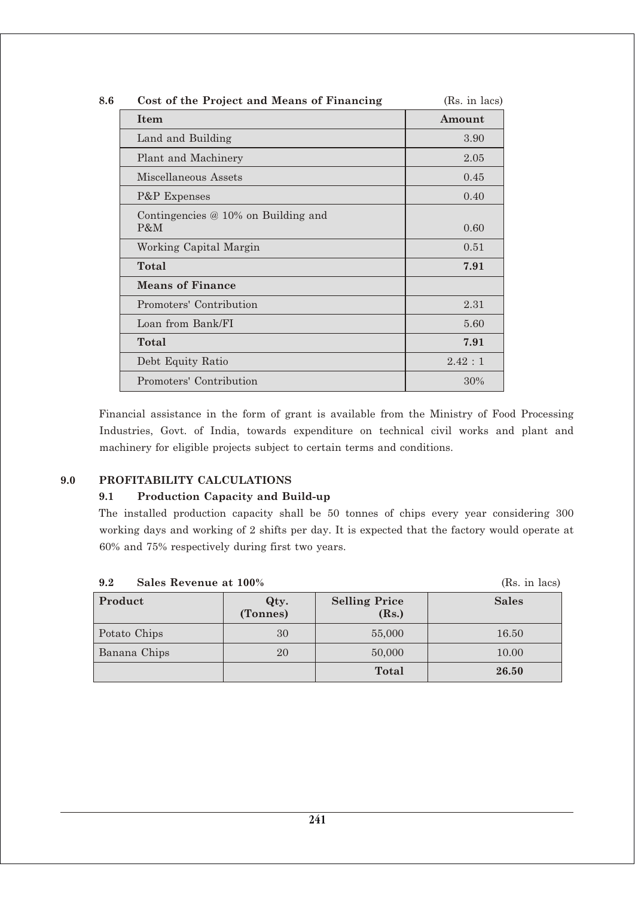| 8.6 | Cost of the Project and Means of Financing   | (Rs. in lacs) |
|-----|----------------------------------------------|---------------|
|     | <b>Item</b>                                  | Amount        |
|     | Land and Building                            | 3.90          |
|     | Plant and Machinery                          | 2.05          |
|     | Miscellaneous Assets                         | 0.45          |
|     | P&P Expenses                                 | 0.40          |
|     | Contingencies $@10\%$ on Building and<br>P&M | 0.60          |
|     | Working Capital Margin                       | 0.51          |
|     | Total                                        | 7.91          |
|     | <b>Means of Finance</b>                      |               |
|     | Promoters' Contribution                      | 2.31          |
|     | Loan from Bank/FI                            | 5.60          |
|     | Total                                        | 7.91          |
|     | Debt Equity Ratio                            | 2.42:1        |
|     | Promoters' Contribution                      | 30%           |

Financial assistance in the form of grant is available from the Ministry of Food Processing Industries, Govt. of India, towards expenditure on technical civil works and plant and machinery for eligible projects subject to certain terms and conditions.

### **9.0 PROFITABILITY CALCULATIONS**

#### **9.1 Production Capacity and Build-up**

The installed production capacity shall be 50 tonnes of chips every year considering 300 working days and working of 2 shifts per day. It is expected that the factory would operate at 60% and 75% respectively during first two years.

| (Rs. in lacs)<br>9.2<br>Sales Revenue at 100% |                  |                               |              |  |
|-----------------------------------------------|------------------|-------------------------------|--------------|--|
| Product                                       | Qty.<br>(Tonnes) | <b>Selling Price</b><br>(Rs.) | <b>Sales</b> |  |
| Potato Chips                                  | 30               | 55,000                        | 16.50        |  |
| Banana Chips                                  | 20               | 50,000                        | 10.00        |  |
|                                               |                  | Total                         | 26.50        |  |

| Sales Revenue at 100% |     |  |  |
|-----------------------|-----|--|--|
|                       | 9.2 |  |  |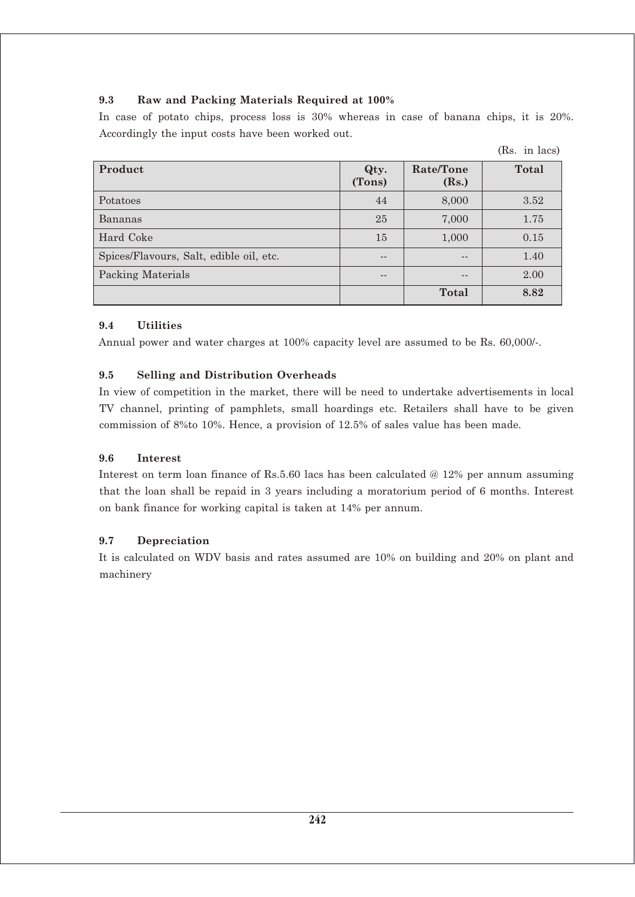### **9.3 Raw and Packing Materials Required at 100%**

In case of potato chips, process loss is 30% whereas in case of banana chips, it is 20%. Accordingly the input costs have been worked out.

(Rs. in lacs)

|                                         |                |                    | \==== ====== |
|-----------------------------------------|----------------|--------------------|--------------|
| <b>Product</b>                          | Qty.<br>(Tons) | Rate/Tone<br>(Rs.) | Total        |
| Potatoes                                | 44             | 8,000              | 3.52         |
| Bananas                                 | 25             | 7,000              | 1.75         |
| Hard Coke                               | 15             | 1,000              | 0.15         |
| Spices/Flavours, Salt, edible oil, etc. | --             | --                 | 1.40         |
| <b>Packing Materials</b>                | --             | $- -$              | 2.00         |
|                                         |                | <b>Total</b>       | 8.82         |

**9.4 Utilities**

Annual power and water charges at 100% capacity level are assumed to be Rs. 60,000/-.

### **9.5 Selling and Distribution Overheads**

In view of competition in the market, there will be need to undertake advertisements in local TV channel, printing of pamphlets, small hoardings etc. Retailers shall have to be given commission of 8%to 10%. Hence, a provision of 12.5% of sales value has been made.

#### **9.6 Interest**

Interest on term loan finance of Rs.5.60 lacs has been calculated @ 12% per annum assuming that the loan shall be repaid in 3 years including a moratorium period of 6 months. Interest on bank finance for working capital is taken at 14% per annum.

#### **9.7 Depreciation**

It is calculated on WDV basis and rates assumed are 10% on building and 20% on plant and machinery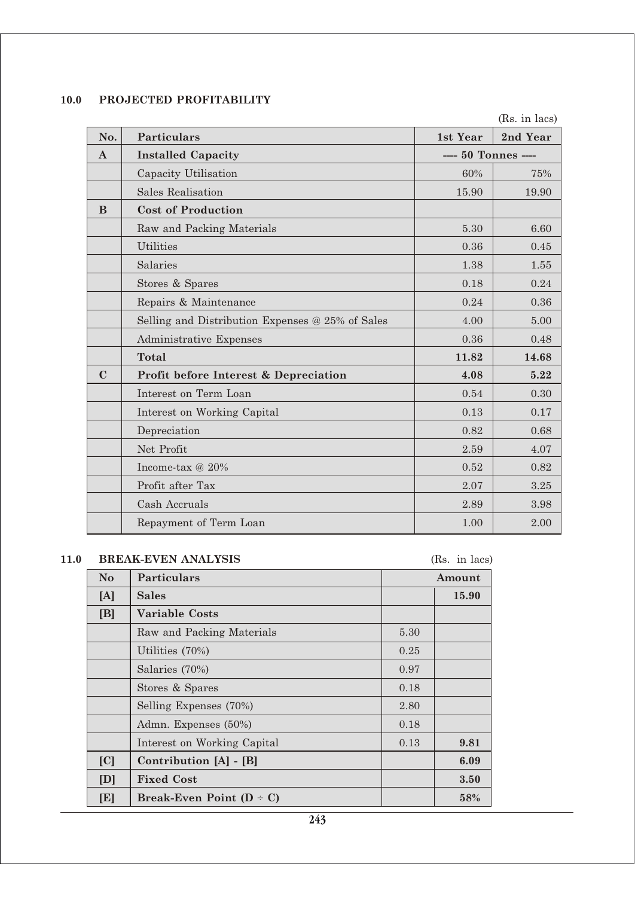## **10.0 PROJECTED PROFITABILITY**

(Rs. in lacs)

| No.          | <b>Particulars</b>                               | 1st Year            | 2nd Year |
|--------------|--------------------------------------------------|---------------------|----------|
| $\mathbf{A}$ | <b>Installed Capacity</b>                        | ---- 50 Tonnes ---- |          |
|              | Capacity Utilisation                             | 60%                 | 75%      |
|              | <b>Sales Realisation</b>                         | 15.90               | 19.90    |
| B            | <b>Cost of Production</b>                        |                     |          |
|              | Raw and Packing Materials                        | 5.30                | 6.60     |
|              | <b>Utilities</b>                                 | 0.36                | 0.45     |
|              | Salaries                                         | 1.38                | 1.55     |
|              | Stores & Spares                                  | 0.18                | 0.24     |
|              | Repairs & Maintenance                            | 0.24                | 0.36     |
|              | Selling and Distribution Expenses @ 25% of Sales | 4.00                | 5.00     |
|              | Administrative Expenses                          | 0.36                | 0.48     |
|              | Total                                            | 11.82               | 14.68    |
| $\mathbf C$  | Profit before Interest & Depreciation            | 4.08                | 5.22     |
|              | Interest on Term Loan                            | 0.54                | 0.30     |
|              | Interest on Working Capital                      | 0.13                | 0.17     |
|              | Depreciation                                     | 0.82                | 0.68     |
|              | Net Profit                                       | 2.59                | 4.07     |
|              | Income-tax @ 20%                                 | 0.52                | 0.82     |
|              | Profit after Tax                                 | 2.07                | 3.25     |
|              | Cash Accruals                                    | 2.89                | 3.98     |
|              | Repayment of Term Loan                           | 1.00                | 2.00     |

# **11.0 BREAK-EVEN ANALYSIS** (Rs. in lacs)

|                | <b>DIVLIME DI LISTERI IN DIDI</b> |      | (100, 111100) |
|----------------|-----------------------------------|------|---------------|
| N <sub>o</sub> | Particulars                       |      | Amount        |
| [A]            | <b>Sales</b>                      |      | 15.90         |
| [B]            | Variable Costs                    |      |               |
|                | Raw and Packing Materials         | 5.30 |               |
|                | Utilities (70%)                   | 0.25 |               |
|                | Salaries (70%)                    | 0.97 |               |
|                | Stores & Spares                   | 0.18 |               |
|                | Selling Expenses (70%)            | 2.80 |               |
|                | Admn. Expenses (50%)              | 0.18 |               |
|                | Interest on Working Capital       | 0.13 | 9.81          |
| [C]            | Contribution [A] - [B]            |      | 6.09          |
| [D]            | <b>Fixed Cost</b>                 |      | 3.50          |
| [E]            | Break-Even Point $(D - C)$        |      | 58%           |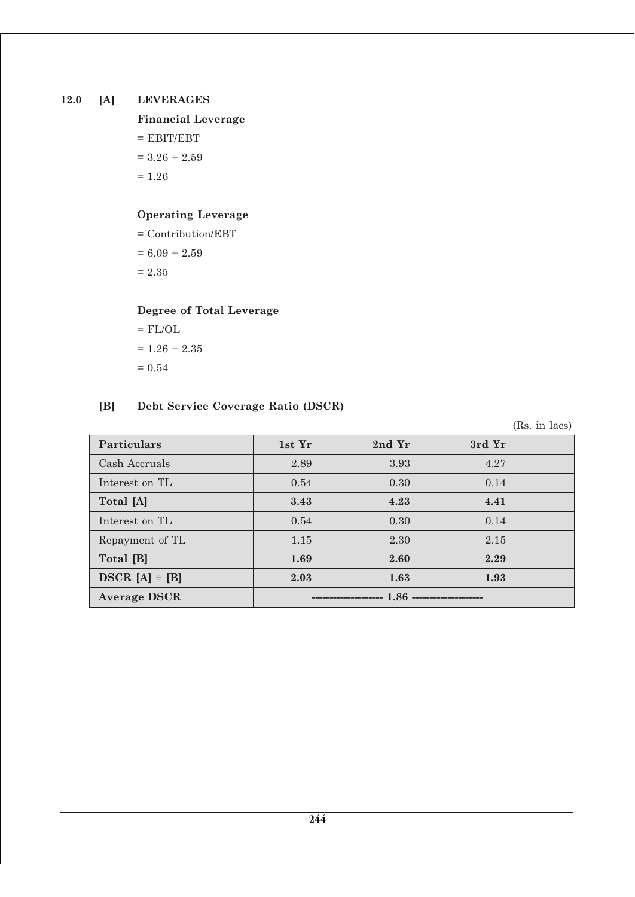## **12.0 [A] LEVERAGES**

# **Financial Leverage**  $=$  EBIT/EBT

 $= 3.26 \div 2.59$  $= 1.26$ 

## **Operating Leverage**

= Contribution/EBT  $= 6.09 \div 2.59$  $= 2.35$ 

## **Degree of Total Leverage**

 $=$  FL/OL  $= 1.26 \div 2.35$  $= 0.54$ 

## **[B] Debt Service Coverage Ratio (DSCR)**

(Rs. in lacs)

| <b>Particulars</b>  | 1st Yr               | 2nd Yr | 3rd Yr |
|---------------------|----------------------|--------|--------|
| Cash Accruals       | 2.89                 | 3.93   | 4.27   |
| Interest on TL      | 0.54                 | 0.30   | 0.14   |
| Total [A]           | 3.43                 | 4.23   | 4.41   |
| Interest on TL      | 0.54                 | 0.30   | 0.14   |
| Repayment of TL     | 1.15                 | 2.30   | 2.15   |
| Total [B]           | 1.69                 | 2.60   | 2.29   |
| $DSCR [A] \div [B]$ | 2.03                 | 1.63   | 1.93   |
| <b>Average DSCR</b> | -------------------- |        |        |